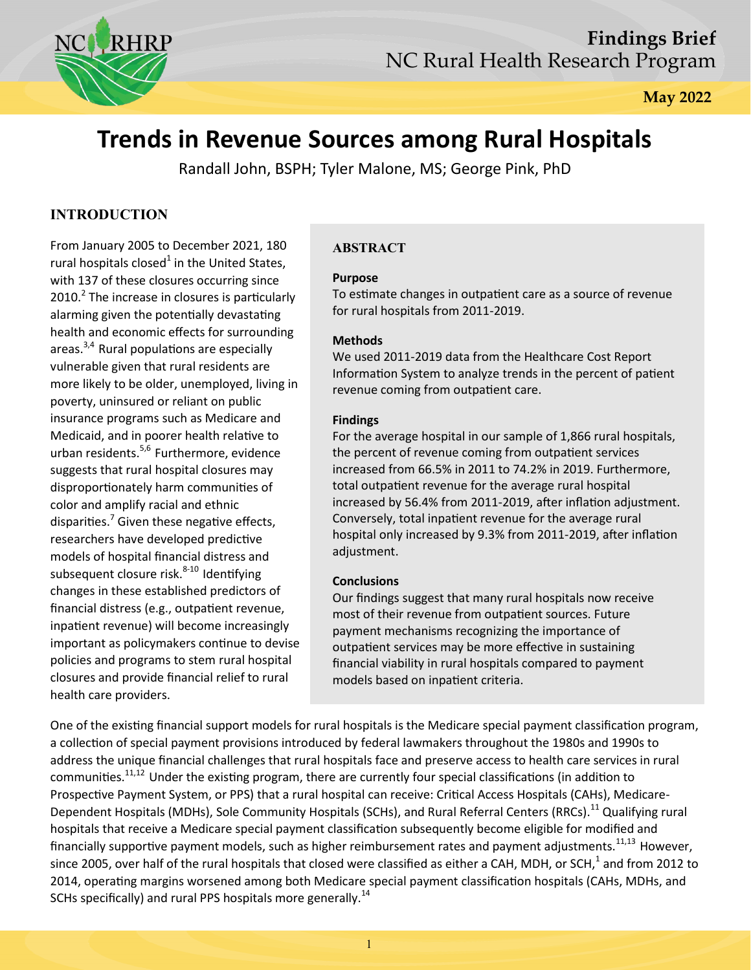

**May 2022** 

# **Trends in Revenue Sources among Rural Hospitals**

Randall John, BSPH; Tyler Malone, MS; George Pink, PhD

# **INTRODUCTION**

From January 2005 to December 2021, 180 rural hospitals closed $^1$  in the United States, with 137 of these closures occurring since  $2010.<sup>2</sup>$  The increase in closures is particularly alarming given the potentially devastating health and economic effects for surrounding areas.<sup>3,4</sup> Rural populations are especially vulnerable given that rural residents are more likely to be older, unemployed, living in poverty, uninsured or reliant on public insurance programs such as Medicare and Medicaid, and in poorer health relative to urban residents.<sup>5,6</sup> Furthermore, evidence suggests that rural hospital closures may disproportionately harm communities of color and amplify racial and ethnic disparities.<sup>7</sup> Given these negative effects, researchers have developed predictive models of hospital financial distress and subsequent closure risk. $8-10$  Identifying changes in these established predictors of financial distress (e.g., outpatient revenue, inpatient revenue) will become increasingly important as policymakers continue to devise policies and programs to stem rural hospital closures and provide financial relief to rural health care providers.

# **ABSTRACT**

#### **Purpose**

To estimate changes in outpatient care as a source of revenue for rural hospitals from 2011-2019.

#### **Methods**

We used 2011-2019 data from the Healthcare Cost Report Information System to analyze trends in the percent of patient revenue coming from outpatient care.

#### **Findings**

For the average hospital in our sample of 1,866 rural hospitals, the percent of revenue coming from outpatient services increased from 66.5% in 2011 to 74.2% in 2019. Furthermore, total outpatient revenue for the average rural hospital increased by 56.4% from 2011-2019, after inflation adjustment. Conversely, total inpatient revenue for the average rural hospital only increased by 9.3% from 2011-2019, after inflation adjustment.

#### **Conclusions**

Our findings suggest that many rural hospitals now receive most of their revenue from outpatient sources. Future payment mechanisms recognizing the importance of outpatient services may be more effective in sustaining financial viability in rural hospitals compared to payment models based on inpatient criteria.

One of the existing financial support models for rural hospitals is the Medicare special payment classification program, a collection of special payment provisions introduced by federal lawmakers throughout the 1980s and 1990s to address the unique financial challenges that rural hospitals face and preserve access to health care services in rural communities.<sup>11,12</sup> Under the existing program, there are currently four special classifications (in addition to Prospective Payment System, or PPS) that a rural hospital can receive: Critical Access Hospitals (CAHs), Medicare-Dependent Hospitals (MDHs), Sole Community Hospitals (SCHs), and Rural Referral Centers (RRCs).<sup>11</sup> Qualifying rural hospitals that receive a Medicare special payment classification subsequently become eligible for modified and financially supportive payment models, such as higher reimbursement rates and payment adjustments.<sup>11,13</sup> However, since 2005, over half of the rural hospitals that closed were classified as either a CAH, MDH, or SCH, $^1$  and from 2012 to 2014, operating margins worsened among both Medicare special payment classification hospitals (CAHs, MDHs, and SCHs specifically) and rural PPS hospitals more generally.<sup>14</sup>

1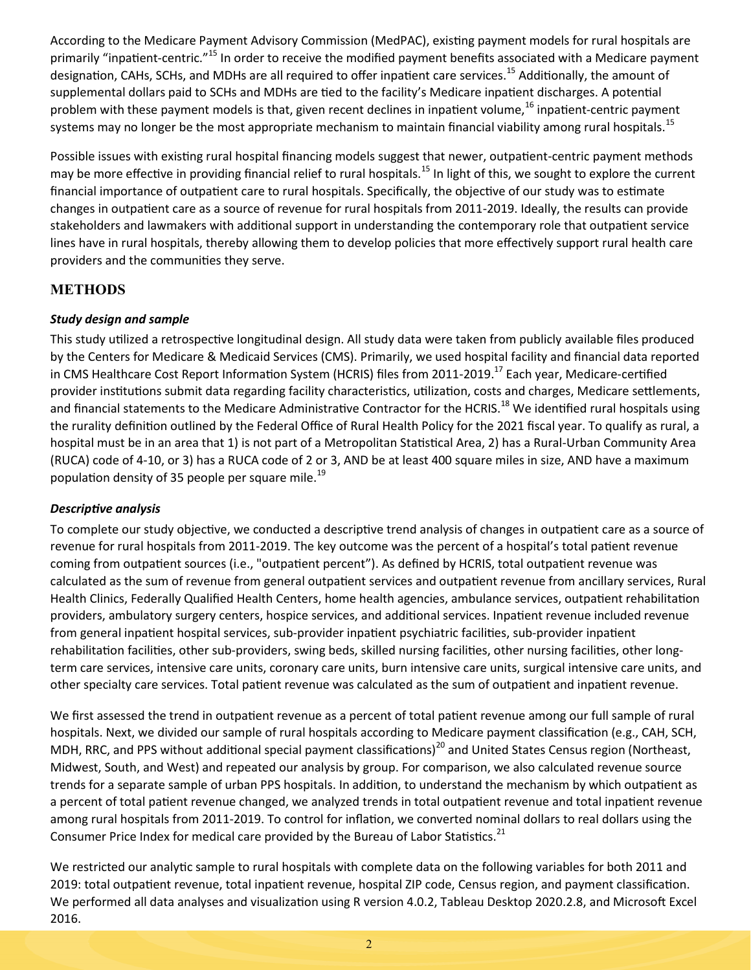According to the Medicare Payment Advisory Commission (MedPAC), existing payment models for rural hospitals are primarily "inpatient-centric."<sup>15</sup> In order to receive the modified payment benefits associated with a Medicare payment designation, CAHs, SCHs, and MDHs are all required to offer inpatient care services.<sup>15</sup> Additionally, the amount of supplemental dollars paid to SCHs and MDHs are tied to the facility's Medicare inpatient discharges. A potential problem with these payment models is that, given recent declines in inpatient volume,  $16$  inpatient-centric payment systems may no longer be the most appropriate mechanism to maintain financial viability among rural hospitals.<sup>15</sup>

Possible issues with existing rural hospital financing models suggest that newer, outpatient-centric payment methods may be more effective in providing financial relief to rural hospitals.<sup>15</sup> In light of this, we sought to explore the current financial importance of outpatient care to rural hospitals. Specifically, the objective of our study was to estimate changes in outpatient care as a source of revenue for rural hospitals from 2011-2019. Ideally, the results can provide stakeholders and lawmakers with additional support in understanding the contemporary role that outpatient service lines have in rural hospitals, thereby allowing them to develop policies that more effectively support rural health care providers and the communities they serve.

# **METHODS**

## *Study design and sample*

This study utilized a retrospective longitudinal design. All study data were taken from publicly available files produced by the Centers for Medicare & Medicaid Services (CMS). Primarily, we used hospital facility and financial data reported in CMS Healthcare Cost Report Information System (HCRIS) files from 2011-2019.<sup>17</sup> Each year, Medicare-certified provider institutions submit data regarding facility characteristics, utilization, costs and charges, Medicare settlements, and financial statements to the Medicare Administrative Contractor for the HCRIS.<sup>18</sup> We identified rural hospitals using the rurality definition outlined by the Federal Office of Rural Health Policy for the 2021 fiscal year. To qualify as rural, a hospital must be in an area that 1) is not part of a Metropolitan Statistical Area, 2) has a Rural-Urban Community Area (RUCA) code of 4-10, or 3) has a RUCA code of 2 or 3, AND be at least 400 square miles in size, AND have a maximum population density of 35 people per square mile.<sup>19</sup>

### *Descriptive analysis*

To complete our study objective, we conducted a descriptive trend analysis of changes in outpatient care as a source of revenue for rural hospitals from 2011-2019. The key outcome was the percent of a hospital's total patient revenue coming from outpatient sources (i.e., "outpatient percent"). As defined by HCRIS, total outpatient revenue was calculated as the sum of revenue from general outpatient services and outpatient revenue from ancillary services, Rural Health Clinics, Federally Qualified Health Centers, home health agencies, ambulance services, outpatient rehabilitation providers, ambulatory surgery centers, hospice services, and additional services. Inpatient revenue included revenue from general inpatient hospital services, sub-provider inpatient psychiatric facilities, sub-provider inpatient rehabilitation facilities, other sub-providers, swing beds, skilled nursing facilities, other nursing facilities, other longterm care services, intensive care units, coronary care units, burn intensive care units, surgical intensive care units, and other specialty care services. Total patient revenue was calculated as the sum of outpatient and inpatient revenue.

We first assessed the trend in outpatient revenue as a percent of total patient revenue among our full sample of rural hospitals. Next, we divided our sample of rural hospitals according to Medicare payment classification (e.g., CAH, SCH, MDH, RRC, and PPS without additional special payment classifications)<sup>20</sup> and United States Census region (Northeast, Midwest, South, and West) and repeated our analysis by group. For comparison, we also calculated revenue source trends for a separate sample of urban PPS hospitals. In addition, to understand the mechanism by which outpatient as a percent of total patient revenue changed, we analyzed trends in total outpatient revenue and total inpatient revenue among rural hospitals from 2011-2019. To control for inflation, we converted nominal dollars to real dollars using the Consumer Price Index for medical care provided by the Bureau of Labor Statistics. $^{21}$ 

We restricted our analytic sample to rural hospitals with complete data on the following variables for both 2011 and 2019: total outpatient revenue, total inpatient revenue, hospital ZIP code, Census region, and payment classification. We performed all data analyses and visualization using R version 4.0.2, Tableau Desktop 2020.2.8, and Microsoft Excel 2016.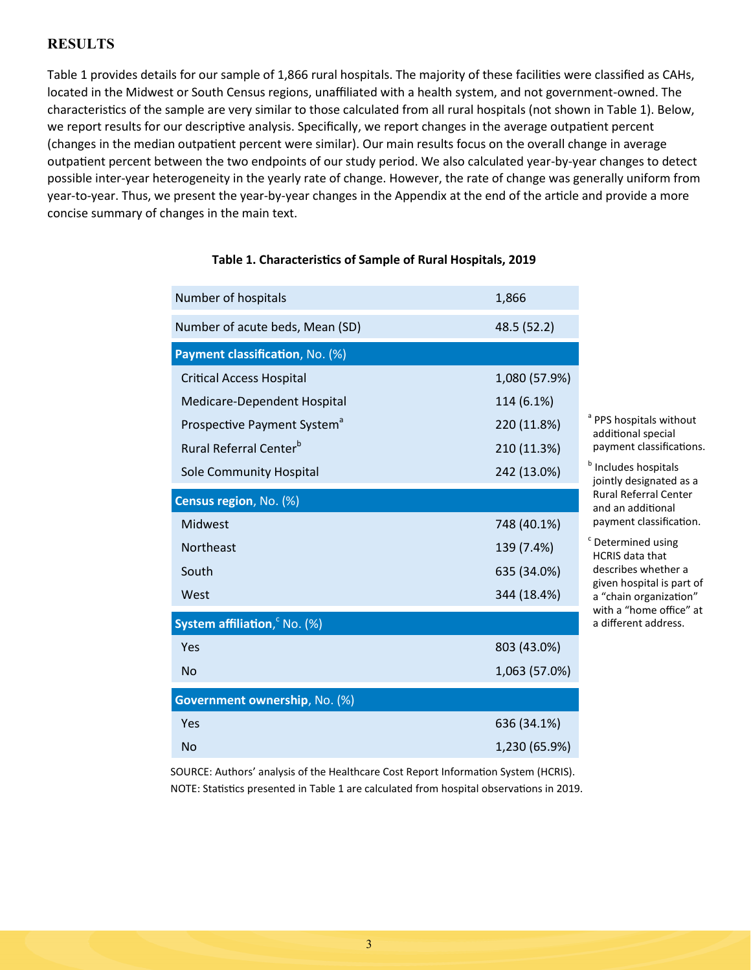## **RESULTS**

Table 1 provides details for our sample of 1,866 rural hospitals. The majority of these facilities were classified as CAHs, located in the Midwest or South Census regions, unaffiliated with a health system, and not government-owned. The characteristics of the sample are very similar to those calculated from all rural hospitals (not shown in Table 1). Below, we report results for our descriptive analysis. Specifically, we report changes in the average outpatient percent (changes in the median outpatient percent were similar). Our main results focus on the overall change in average outpatient percent between the two endpoints of our study period. We also calculated year-by-year changes to detect possible inter-year heterogeneity in the yearly rate of change. However, the rate of change was generally uniform from year-to-year. Thus, we present the year-by-year changes in the Appendix at the end of the article and provide a more concise summary of changes in the main text.

| Number of hospitals                     | 1,866         |                                                          |  |
|-----------------------------------------|---------------|----------------------------------------------------------|--|
| Number of acute beds, Mean (SD)         | 48.5 (52.2)   |                                                          |  |
| <b>Payment classification, No. (%)</b>  |               |                                                          |  |
| <b>Critical Access Hospital</b>         | 1,080 (57.9%) |                                                          |  |
| Medicare-Dependent Hospital             | 114 (6.1%)    |                                                          |  |
| Prospective Payment System <sup>®</sup> | 220 (11.8%)   | <sup>a</sup> PPS hospitals without<br>additional special |  |
| Rural Referral Center <sup>b</sup>      | 210 (11.3%)   | payment classifications.                                 |  |
| <b>Sole Community Hospital</b>          | 242 (13.0%)   | <b>b</b> Includes hospitals<br>jointly designated as a   |  |
| Census region, No. (%)                  |               | <b>Rural Referral Center</b><br>and an additional        |  |
| Midwest                                 | 748 (40.1%)   | payment classification.                                  |  |
| <b>Northeast</b>                        | 139 (7.4%)    | <sup>c</sup> Determined using<br><b>HCRIS</b> data that  |  |
| South                                   | 635 (34.0%)   | describes whether a                                      |  |
| West                                    | 344 (18.4%)   | given hospital is part of<br>a "chain organization"      |  |
| System affiliation, No. (%)             |               | with a "home office" at<br>a different address.          |  |
| Yes                                     | 803 (43.0%)   |                                                          |  |
| <b>No</b>                               | 1,063 (57.0%) |                                                          |  |
| Government ownership, No. (%)           |               |                                                          |  |
| Yes                                     | 636 (34.1%)   |                                                          |  |
| <b>No</b>                               | 1,230 (65.9%) |                                                          |  |

#### **Table 1. Characteristics of Sample of Rural Hospitals, 2019**

SOURCE: Authors' analysis of the Healthcare Cost Report Information System (HCRIS). NOTE: Statistics presented in Table 1 are calculated from hospital observations in 2019.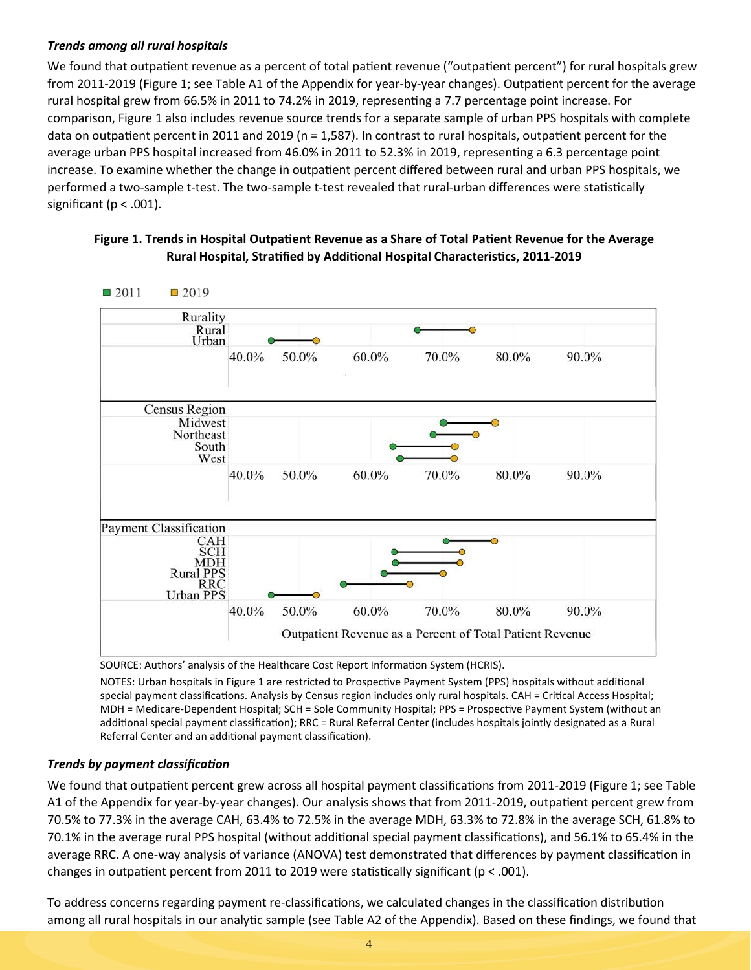#### *Trends among all rural hospitals*

We found that outpatient revenue as a percent of total patient revenue ("outpatient percent") for rural hospitals grew from 2011-2019 (Figure 1; see Table A1 of the Appendix for year-by-year changes). Outpatient percent for the average rural hospital grew from 66.5% in 2011 to 74.2% in 2019, representing a 7.7 percentage point increase. For comparison, Figure 1 also includes revenue source trends for a separate sample of urban PPS hospitals with complete data on outpatient percent in 2011 and 2019 (n = 1,587). In contrast to rural hospitals, outpatient percent for the average urban PPS hospital increased from 46.0% in 2011 to 52.3% in 2019, representing a 6.3 percentage point increase. To examine whether the change in outpatient percent differed between rural and urban PPS hospitals, we performed a two-sample t-test. The two-sample t-test revealed that rural-urban differences were statistically significant ( $p < .001$ ).

## **Figure 1. Trends in Hospital Outpatient Revenue as a Share of Total Patient Revenue for the Average Rural Hospital, Stratified by Additional Hospital Characteristics, 2011-2019**



SOURCE: Authors' analysis of the Healthcare Cost Report Information System (HCRIS).

NOTES: Urban hospitals in Figure 1 are restricted to Prospective Payment System (PPS) hospitals without additional special payment classifications. Analysis by Census region includes only rural hospitals. CAH = Critical Access Hospital; MDH = Medicare-Dependent Hospital; SCH = Sole Community Hospital; PPS = Prospective Payment System (without an additional special payment classification); RRC = Rural Referral Center (includes hospitals jointly designated as a Rural Referral Center and an additional payment classification).

### *Trends by payment classification*

We found that outpatient percent grew across all hospital payment classifications from 2011-2019 (Figure 1; see Table A1 of the Appendix for year-by-year changes). Our analysis shows that from 2011-2019, outpatient percent grew from 70.5% to 77.3% in the average CAH, 63.4% to 72.5% in the average MDH, 63.3% to 72.8% in the average SCH, 61.8% to 70.1% in the average rural PPS hospital (without additional special payment classifications), and 56.1% to 65.4% in the average RRC. A one-way analysis of variance (ANOVA) test demonstrated that differences by payment classification in changes in outpatient percent from 2011 to 2019 were statistically significant ( $p < .001$ ).

To address concerns regarding payment re-classifications, we calculated changes in the classification distribution among all rural hospitals in our analytic sample (see Table A2 of the Appendix). Based on these findings, we found that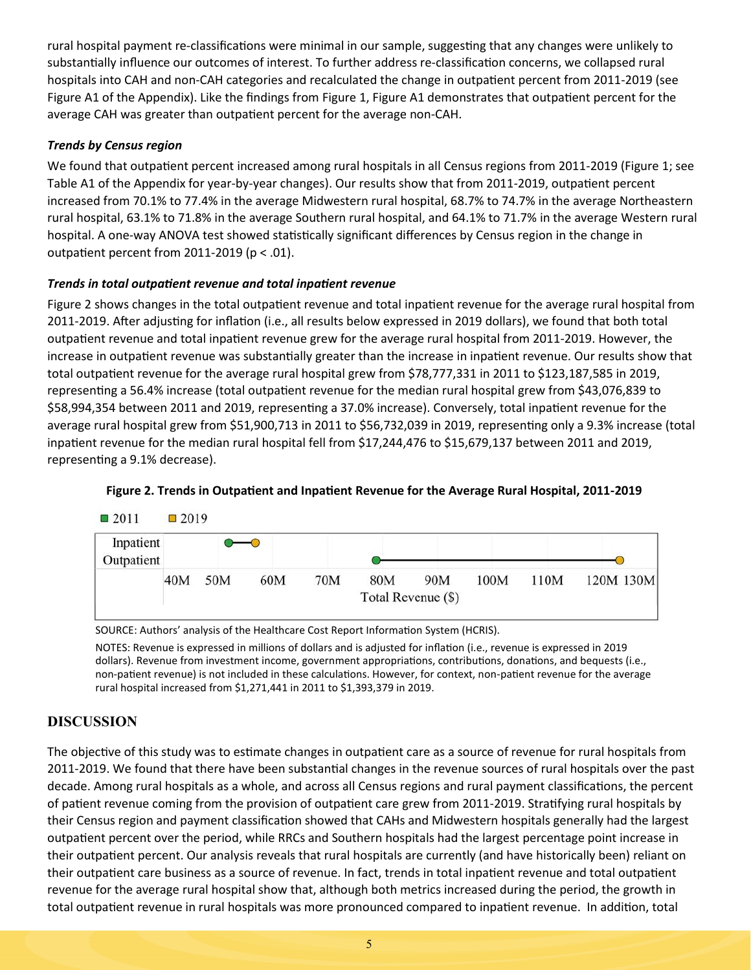rural hospital payment re-classifications were minimal in our sample, suggesting that any changes were unlikely to substantially influence our outcomes of interest. To further address re-classification concerns, we collapsed rural hospitals into CAH and non-CAH categories and recalculated the change in outpatient percent from 2011-2019 (see Figure A1 of the Appendix). Like the findings from Figure 1, Figure A1 demonstrates that outpatient percent for the average CAH was greater than outpatient percent for the average non-CAH.

# *Trends by Census region*

We found that outpatient percent increased among rural hospitals in all Census regions from 2011-2019 (Figure 1; see Table A1 of the Appendix for year-by-year changes). Our results show that from 2011-2019, outpatient percent increased from 70.1% to 77.4% in the average Midwestern rural hospital, 68.7% to 74.7% in the average Northeastern rural hospital, 63.1% to 71.8% in the average Southern rural hospital, and 64.1% to 71.7% in the average Western rural hospital. A one-way ANOVA test showed statistically significant differences by Census region in the change in outpatient percent from 2011-2019 ( $p < .01$ ).

## *Trends in total outpatient revenue and total inpatient revenue*

Figure 2 shows changes in the total outpatient revenue and total inpatient revenue for the average rural hospital from 2011-2019. After adjusting for inflation (i.e., all results below expressed in 2019 dollars), we found that both total outpatient revenue and total inpatient revenue grew for the average rural hospital from 2011-2019. However, the increase in outpatient revenue was substantially greater than the increase in inpatient revenue. Our results show that total outpatient revenue for the average rural hospital grew from \$78,777,331 in 2011 to \$123,187,585 in 2019, representing a 56.4% increase (total outpatient revenue for the median rural hospital grew from \$43,076,839 to \$58,994,354 between 2011 and 2019, representing a 37.0% increase). Conversely, total inpatient revenue for the average rural hospital grew from \$51,900,713 in 2011 to \$56,732,039 in 2019, representing only a 9.3% increase (total inpatient revenue for the median rural hospital fell from \$17,244,476 to \$15,679,137 between 2011 and 2019, representing a 9.1% decrease).





SOURCE: Authors' analysis of the Healthcare Cost Report Information System (HCRIS).

NOTES: Revenue is expressed in millions of dollars and is adjusted for inflation (i.e., revenue is expressed in 2019 dollars). Revenue from investment income, government appropriations, contributions, donations, and bequests (i.e., non-patient revenue) is not included in these calculations. However, for context, non-patient revenue for the average rural hospital increased from \$1,271,441 in 2011 to \$1,393,379 in 2019.

# **DISCUSSION**

The objective of this study was to estimate changes in outpatient care as a source of revenue for rural hospitals from 2011-2019. We found that there have been substantial changes in the revenue sources of rural hospitals over the past decade. Among rural hospitals as a whole, and across all Census regions and rural payment classifications, the percent of patient revenue coming from the provision of outpatient care grew from 2011-2019. Stratifying rural hospitals by their Census region and payment classification showed that CAHs and Midwestern hospitals generally had the largest outpatient percent over the period, while RRCs and Southern hospitals had the largest percentage point increase in their outpatient percent. Our analysis reveals that rural hospitals are currently (and have historically been) reliant on their outpatient care business as a source of revenue. In fact, trends in total inpatient revenue and total outpatient revenue for the average rural hospital show that, although both metrics increased during the period, the growth in total outpatient revenue in rural hospitals was more pronounced compared to inpatient revenue. In addition, total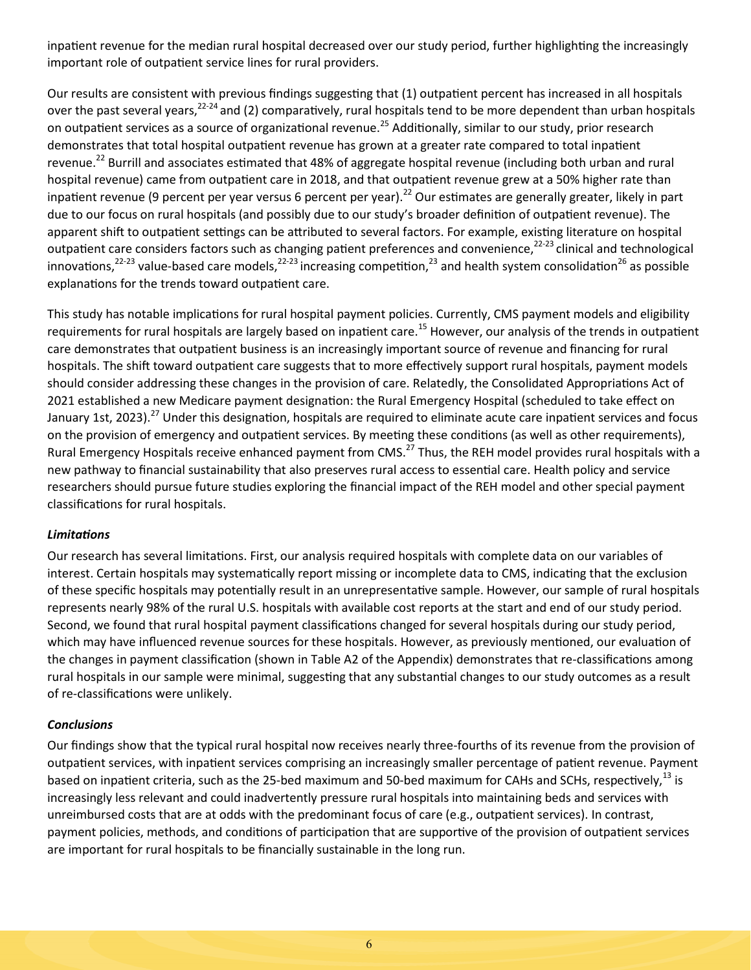inpatient revenue for the median rural hospital decreased over our study period, further highlighting the increasingly important role of outpatient service lines for rural providers.

Our results are consistent with previous findings suggesting that (1) outpatient percent has increased in all hospitals over the past several years,  $2^{2-24}$  and (2) comparatively, rural hospitals tend to be more dependent than urban hospitals on outpatient services as a source of organizational revenue.<sup>25</sup> Additionally, similar to our study, prior research demonstrates that total hospital outpatient revenue has grown at a greater rate compared to total inpatient revenue.<sup>22</sup> Burrill and associates estimated that 48% of aggregate hospital revenue (including both urban and rural hospital revenue) came from outpatient care in 2018, and that outpatient revenue grew at a 50% higher rate than inpatient revenue (9 percent per year versus 6 percent per year).<sup>22</sup> Our estimates are generally greater, likely in part due to our focus on rural hospitals (and possibly due to our study's broader definition of outpatient revenue). The apparent shift to outpatient settings can be attributed to several factors. For example, existing literature on hospital outpatient care considers factors such as changing patient preferences and convenience,<sup>22-23</sup> clinical and technological innovations,<sup>22-23</sup> value-based care models,<sup>22-23</sup> increasing competition,<sup>23</sup> and health system consolidation<sup>26</sup> as possible explanations for the trends toward outpatient care.

This study has notable implications for rural hospital payment policies. Currently, CMS payment models and eligibility requirements for rural hospitals are largely based on inpatient care.<sup>15</sup> However, our analysis of the trends in outpatient care demonstrates that outpatient business is an increasingly important source of revenue and financing for rural hospitals. The shift toward outpatient care suggests that to more effectively support rural hospitals, payment models should consider addressing these changes in the provision of care. Relatedly, the Consolidated Appropriations Act of 2021 established a new Medicare payment designation: the Rural Emergency Hospital (scheduled to take effect on January 1st, 2023).<sup>27</sup> Under this designation, hospitals are required to eliminate acute care inpatient services and focus on the provision of emergency and outpatient services. By meeting these conditions (as well as other requirements), Rural Emergency Hospitals receive enhanced payment from CMS.<sup>27</sup> Thus, the REH model provides rural hospitals with a new pathway to financial sustainability that also preserves rural access to essential care. Health policy and service researchers should pursue future studies exploring the financial impact of the REH model and other special payment classifications for rural hospitals.

#### *Limitations*

Our research has several limitations. First, our analysis required hospitals with complete data on our variables of interest. Certain hospitals may systematically report missing or incomplete data to CMS, indicating that the exclusion of these specific hospitals may potentially result in an unrepresentative sample. However, our sample of rural hospitals represents nearly 98% of the rural U.S. hospitals with available cost reports at the start and end of our study period. Second, we found that rural hospital payment classifications changed for several hospitals during our study period, which may have influenced revenue sources for these hospitals. However, as previously mentioned, our evaluation of the changes in payment classification (shown in Table A2 of the Appendix) demonstrates that re-classifications among rural hospitals in our sample were minimal, suggesting that any substantial changes to our study outcomes as a result of re-classifications were unlikely.

### *Conclusions*

Our findings show that the typical rural hospital now receives nearly three-fourths of its revenue from the provision of outpatient services, with inpatient services comprising an increasingly smaller percentage of patient revenue. Payment based on inpatient criteria, such as the 25-bed maximum and 50-bed maximum for CAHs and SCHs, respectively, <sup>13</sup> is increasingly less relevant and could inadvertently pressure rural hospitals into maintaining beds and services with unreimbursed costs that are at odds with the predominant focus of care (e.g., outpatient services). In contrast, payment policies, methods, and conditions of participation that are supportive of the provision of outpatient services are important for rural hospitals to be financially sustainable in the long run.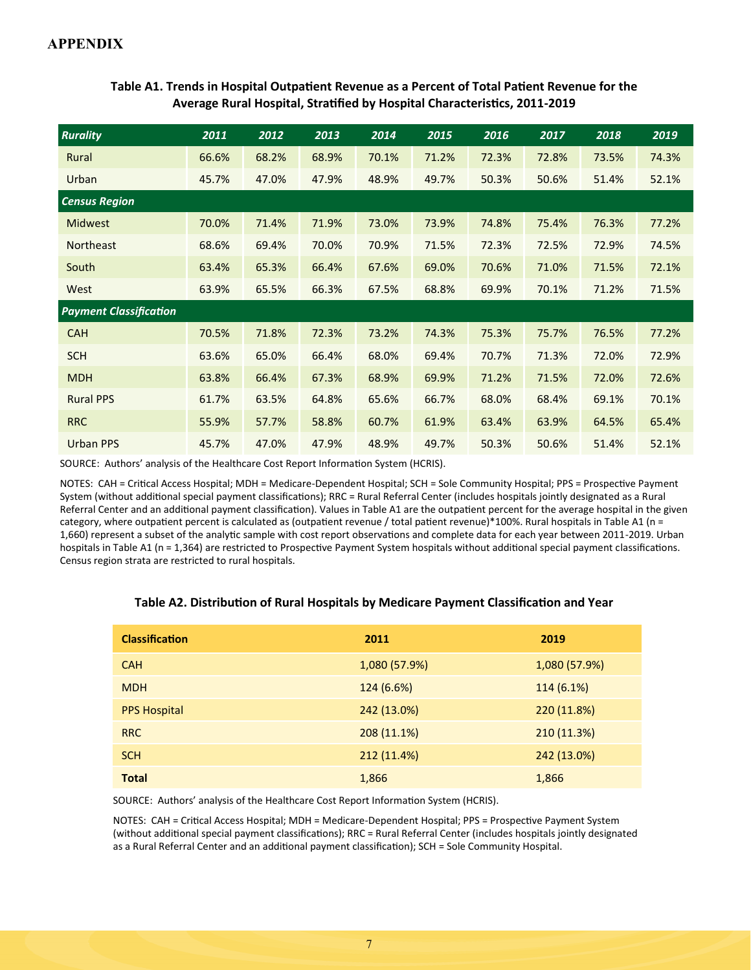## **APPENDIX**

#### **Table A1. Trends in Hospital Outpatient Revenue as a Percent of Total Patient Revenue for the Average Rural Hospital, Stratified by Hospital Characteristics, 2011-2019**

| <b>Rurality</b>               | 2011  | 2012  | 2013  | 2014  | 2015  | 2016  | 2017  | 2018  | 2019  |
|-------------------------------|-------|-------|-------|-------|-------|-------|-------|-------|-------|
| Rural                         | 66.6% | 68.2% | 68.9% | 70.1% | 71.2% | 72.3% | 72.8% | 73.5% | 74.3% |
| Urban                         | 45.7% | 47.0% | 47.9% | 48.9% | 49.7% | 50.3% | 50.6% | 51.4% | 52.1% |
| <b>Census Region</b>          |       |       |       |       |       |       |       |       |       |
| <b>Midwest</b>                | 70.0% | 71.4% | 71.9% | 73.0% | 73.9% | 74.8% | 75.4% | 76.3% | 77.2% |
| Northeast                     | 68.6% | 69.4% | 70.0% | 70.9% | 71.5% | 72.3% | 72.5% | 72.9% | 74.5% |
| South                         | 63.4% | 65.3% | 66.4% | 67.6% | 69.0% | 70.6% | 71.0% | 71.5% | 72.1% |
| West                          | 63.9% | 65.5% | 66.3% | 67.5% | 68.8% | 69.9% | 70.1% | 71.2% | 71.5% |
| <b>Payment Classification</b> |       |       |       |       |       |       |       |       |       |
| <b>CAH</b>                    | 70.5% | 71.8% | 72.3% | 73.2% | 74.3% | 75.3% | 75.7% | 76.5% | 77.2% |
| <b>SCH</b>                    | 63.6% | 65.0% | 66.4% | 68.0% | 69.4% | 70.7% | 71.3% | 72.0% | 72.9% |
| <b>MDH</b>                    | 63.8% | 66.4% | 67.3% | 68.9% | 69.9% | 71.2% | 71.5% | 72.0% | 72.6% |
| <b>Rural PPS</b>              | 61.7% | 63.5% | 64.8% | 65.6% | 66.7% | 68.0% | 68.4% | 69.1% | 70.1% |
| <b>RRC</b>                    | 55.9% | 57.7% | 58.8% | 60.7% | 61.9% | 63.4% | 63.9% | 64.5% | 65.4% |
| Urban PPS                     | 45.7% | 47.0% | 47.9% | 48.9% | 49.7% | 50.3% | 50.6% | 51.4% | 52.1% |

SOURCE: Authors' analysis of the Healthcare Cost Report Information System (HCRIS).

NOTES: CAH = Critical Access Hospital; MDH = Medicare-Dependent Hospital; SCH = Sole Community Hospital; PPS = Prospective Payment System (without additional special payment classifications); RRC = Rural Referral Center (includes hospitals jointly designated as a Rural Referral Center and an additional payment classification). Values in Table A1 are the outpatient percent for the average hospital in the given category, where outpatient percent is calculated as (outpatient revenue / total patient revenue)\*100%. Rural hospitals in Table A1 (n = 1,660) represent a subset of the analytic sample with cost report observations and complete data for each year between 2011-2019. Urban hospitals in Table A1 (n = 1,364) are restricted to Prospective Payment System hospitals without additional special payment classifications. Census region strata are restricted to rural hospitals.

| <b>Classification</b> | 2011          | 2019          |
|-----------------------|---------------|---------------|
| <b>CAH</b>            | 1,080 (57.9%) | 1,080 (57.9%) |
| <b>MDH</b>            | 124 (6.6%)    | $114(6.1\%)$  |
| <b>PPS Hospital</b>   | 242 (13.0%)   | 220 (11.8%)   |
| <b>RRC</b>            | 208 (11.1%)   | 210 (11.3%)   |
| <b>SCH</b>            | 212 (11.4%)   | 242 (13.0%)   |
| <b>Total</b>          | 1,866         | 1,866         |

#### **Table A2. Distribution of Rural Hospitals by Medicare Payment Classification and Year**

SOURCE: Authors' analysis of the Healthcare Cost Report Information System (HCRIS).

NOTES: CAH = Critical Access Hospital; MDH = Medicare-Dependent Hospital; PPS = Prospective Payment System (without additional special payment classifications); RRC = Rural Referral Center (includes hospitals jointly designated as a Rural Referral Center and an additional payment classification); SCH = Sole Community Hospital.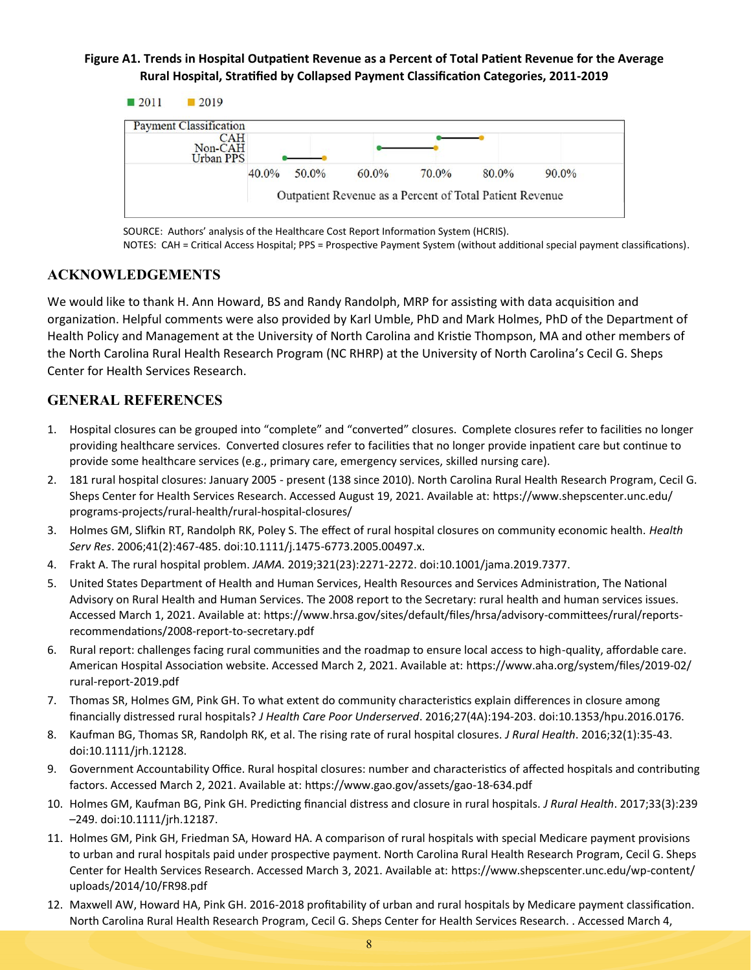## **Figure A1. Trends in Hospital Outpatient Revenue as a Percent of Total Patient Revenue for the Average Rural Hospital, Stratified by Collapsed Payment Classification Categories, 2011-2019**



SOURCE: Authors' analysis of the Healthcare Cost Report Information System (HCRIS). NOTES: CAH = Critical Access Hospital; PPS = Prospective Payment System (without additional special payment classifications).

# **ACKNOWLEDGEMENTS**

We would like to thank H. Ann Howard, BS and Randy Randolph, MRP for assisting with data acquisition and organization. Helpful comments were also provided by Karl Umble, PhD and Mark Holmes, PhD of the Department of Health Policy and Management at the University of North Carolina and Kristie Thompson, MA and other members of the North Carolina Rural Health Research Program (NC RHRP) at the University of North Carolina's Cecil G. Sheps Center for Health Services Research.

## **GENERAL REFERENCES**

- 1. Hospital closures can be grouped into "complete" and "converted" closures. Complete closures refer to facilities no longer providing healthcare services. Converted closures refer to facilities that no longer provide inpatient care but continue to provide some healthcare services (e.g., primary care, emergency services, skilled nursing care).
- 2. 181 rural hospital closures: January 2005 present (138 since 2010). North Carolina Rural Health Research Program, Cecil G. Sheps Center for Health Services Research. Accessed August 19, 2021. Available at: [https://www.shepscenter.unc.edu/](https://www.shepscenter.unc.edu/programs-projects/rural-health/rural-hospital-closures/) programs-[projects/rural](https://www.shepscenter.unc.edu/programs-projects/rural-health/rural-hospital-closures/)-health/rural-hospital-closures/
- 3. Holmes GM, Slifkin RT, Randolph RK, Poley S. The effect of rural hospital closures on community economic health. *Health Serv Res*. 2006;41(2):467-485. doi:10.1111/j.1475-6773.2005.00497.x.
- 4. Frakt A. The rural hospital problem. *JAMA.* 2019;321(23):2271-2272. doi:10.1001/jama.2019.7377.
- 5. United States Department of Health and Human Services, Health Resources and Services Administration, The National Advisory on Rural Health and Human Services. The 2008 report to the Secretary: rural health and human services issues. Accessed March 1, 2021. Available at: [https://www.hrsa.gov/sites/default/files/hrsa/advisory](https://www.hrsa.gov/sites/default/files/hrsa/advisory-committees/rural/reports-recommendations/2008-report-to-secretary.pdf)-committees/rural/reports[recommendations/2008](https://www.hrsa.gov/sites/default/files/hrsa/advisory-committees/rural/reports-recommendations/2008-report-to-secretary.pdf)-report-to-secretary.pdf
- 6. Rural report: challenges facing rural communities and the roadmap to ensure local access to high-quality, affordable care. American Hospital Association website. Accessed March 2, 2021. Available at: [https://www.aha.org/system/files/2019](https://www.aha.org/system/files/2019-02/rural-report-2019.pdf)-02/ rural-report-[2019.pdf](https://www.aha.org/system/files/2019-02/rural-report-2019.pdf)
- 7. Thomas SR, Holmes GM, Pink GH. To what extent do community characteristics explain differences in closure among financially distressed rural hospitals? *J Health Care Poor Underserved*. 2016;27(4A):194-203. doi:10.1353/hpu.2016.0176.
- 8. Kaufman BG, Thomas SR, Randolph RK, et al. The rising rate of rural hospital closures. *J Rural Health*. 2016;32(1):35-43. doi:10.1111/jrh.12128.
- 9. Government Accountability Office. Rural hospital closures: number and characteristics of affected hospitals and contributing factors. Accessed March 2, 2021. Available at: [https://www.gao.gov/assets/gao](https://www.gao.gov/assets/gao-18-634.pdf)-18-634.pdf
- 10. Holmes GM, Kaufman BG, Pink GH. Predicting financial distress and closure in rural hospitals. *J Rural Health*. 2017;33(3):239 –249. doi:10.1111/jrh.12187.
- 11. Holmes GM, Pink GH, Friedman SA, Howard HA. A comparison of rural hospitals with special Medicare payment provisions to urban and rural hospitals paid under prospective payment. North Carolina Rural Health Research Program, Cecil G. Sheps Center for Health Services Research. Accessed March 3, 2021. Available at: [https://www.shepscenter.unc.edu/wp](https://www.shepscenter.unc.edu/wp-content/uploads/2014/10/FR98.pdf)-content/ [uploads/2014/10/FR98.pdf](https://www.shepscenter.unc.edu/wp-content/uploads/2014/10/FR98.pdf)
- 12. Maxwell AW, Howard HA, Pink GH. 2016-2018 profitability of urban and rural hospitals by Medicare payment classification. North Carolina Rural Health Research Program, Cecil G. Sheps Center for Health Services Research. . Accessed March 4,